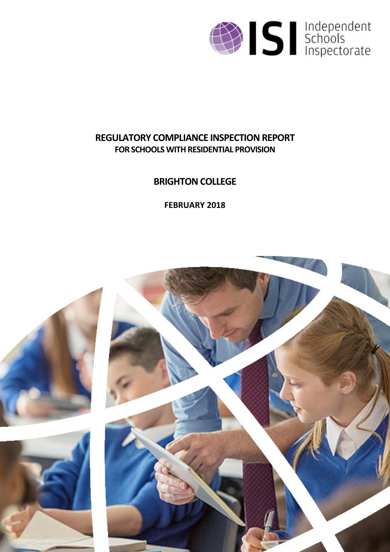

# **REGULATORY COMPLIANCE INSPECTION REPORT FOR SCHOOLS WITH RESIDENTIAL PROVISION**

# **BRIGHTON COLLEGE**

**FEBRUARY 2018**

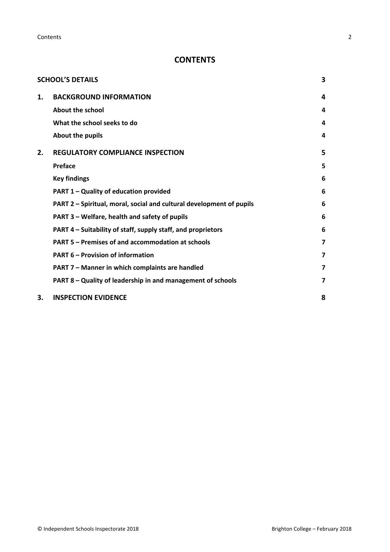**Contents** 2

## **CONTENTS**

|    | <b>SCHOOL'S DETAILS</b>                                              | 3 |
|----|----------------------------------------------------------------------|---|
| 1. | <b>BACKGROUND INFORMATION</b>                                        | 4 |
|    | About the school                                                     | 4 |
|    | What the school seeks to do                                          | 4 |
|    | About the pupils                                                     | 4 |
| 2. | <b>REGULATORY COMPLIANCE INSPECTION</b>                              | 5 |
|    | Preface                                                              | 5 |
|    | <b>Key findings</b>                                                  | 6 |
|    | PART 1 - Quality of education provided                               | 6 |
|    | PART 2 - Spiritual, moral, social and cultural development of pupils | 6 |
|    | PART 3 - Welfare, health and safety of pupils                        | 6 |
|    | PART 4 - Suitability of staff, supply staff, and proprietors         | 6 |
|    | PART 5 - Premises of and accommodation at schools                    | 7 |
|    | <b>PART 6 - Provision of information</b>                             | 7 |
|    | PART 7 - Manner in which complaints are handled                      | 7 |
|    | PART 8 - Quality of leadership in and management of schools          | 7 |
| 3. | <b>INSPECTION EVIDENCE</b>                                           | 8 |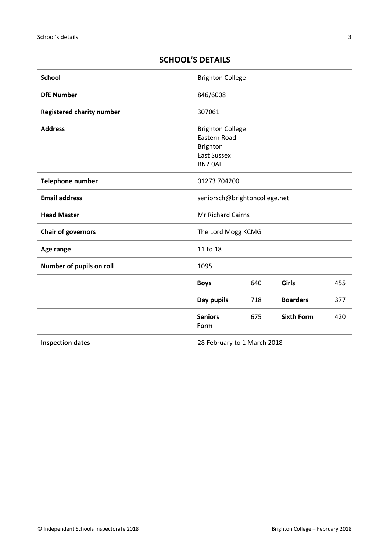## <span id="page-2-0"></span>**SCHOOL'S DETAILS**

| <b>School</b>                    | <b>Brighton College</b>                                                                     |     |                   |     |
|----------------------------------|---------------------------------------------------------------------------------------------|-----|-------------------|-----|
| <b>DfE Number</b>                | 846/6008                                                                                    |     |                   |     |
| <b>Registered charity number</b> | 307061                                                                                      |     |                   |     |
| <b>Address</b>                   | <b>Brighton College</b><br>Eastern Road<br><b>Brighton</b><br><b>East Sussex</b><br>BN2 OAL |     |                   |     |
| <b>Telephone number</b>          | 01273 704200                                                                                |     |                   |     |
| <b>Email address</b>             | seniorsch@brightoncollege.net                                                               |     |                   |     |
| <b>Head Master</b>               | <b>Mr Richard Cairns</b>                                                                    |     |                   |     |
| <b>Chair of governors</b>        | The Lord Mogg KCMG                                                                          |     |                   |     |
| Age range                        | 11 to 18                                                                                    |     |                   |     |
| Number of pupils on roll         | 1095                                                                                        |     |                   |     |
|                                  | <b>Boys</b>                                                                                 | 640 | Girls             | 455 |
|                                  | Day pupils                                                                                  | 718 | <b>Boarders</b>   | 377 |
|                                  | <b>Seniors</b><br>Form                                                                      | 675 | <b>Sixth Form</b> | 420 |
| <b>Inspection dates</b>          | 28 February to 1 March 2018                                                                 |     |                   |     |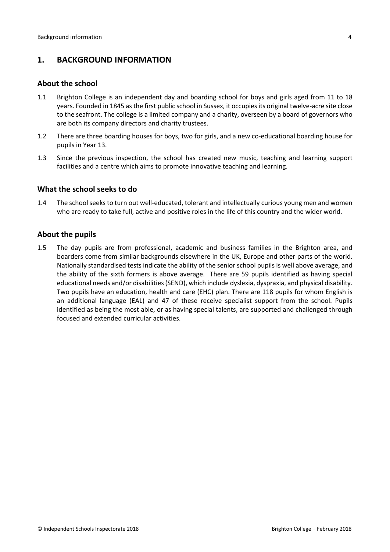## <span id="page-3-0"></span>**1. BACKGROUND INFORMATION**

#### <span id="page-3-1"></span>**About the school**

- 1.1 Brighton College is an independent day and boarding school for boys and girls aged from 11 to 18 years. Founded in 1845 asthe first public school in Sussex, it occupiesits original twelve-acre site close to the seafront. The college is a limited company and a charity, overseen by a board of governors who are both its company directors and charity trustees.
- 1.2 There are three boarding houses for boys, two for girls, and a new co-educational boarding house for pupils in Year 13.
- 1.3 Since the previous inspection, the school has created new music, teaching and learning support facilities and a centre which aims to promote innovative teaching and learning.

#### <span id="page-3-2"></span>**What the school seeks to do**

1.4 The school seeks to turn out well-educated, tolerant and intellectually curious young men and women who are ready to take full, active and positive roles in the life of this country and the wider world.

#### <span id="page-3-3"></span>**About the pupils**

1.5 The day pupils are from professional, academic and business families in the Brighton area, and boarders come from similar backgrounds elsewhere in the UK, Europe and other parts of the world. Nationally standardised tests indicate the ability of the senior school pupils is well above average, and the ability of the sixth formers is above average. There are 59 pupils identified as having special educational needs and/or disabilities(SEND), which include dyslexia, dyspraxia, and physical disability. Two pupils have an education, health and care (EHC) plan. There are 118 pupils for whom English is an additional language (EAL) and 47 of these receive specialist support from the school. Pupils identified as being the most able, or as having special talents, are supported and challenged through focused and extended curricular activities.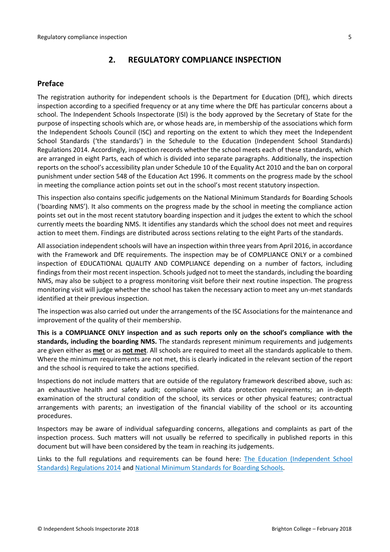## <span id="page-4-0"></span>**2. REGULATORY COMPLIANCE INSPECTION**

## <span id="page-4-1"></span>**Preface**

The registration authority for independent schools is the Department for Education (DfE), which directs inspection according to a specified frequency or at any time where the DfE has particular concerns about a school. The Independent Schools Inspectorate (ISI) is the body approved by the Secretary of State for the purpose of inspecting schools which are, or whose heads are, in membership of the associations which form the Independent Schools Council (ISC) and reporting on the extent to which they meet the Independent School Standards ('the standards') in the Schedule to the Education (Independent School Standards) Regulations 2014. Accordingly, inspection records whether the school meets each of these standards, which are arranged in eight Parts, each of which is divided into separate paragraphs. Additionally, the inspection reports on the school's accessibility plan under Schedule 10 of the Equality Act 2010 and the ban on corporal punishment under section 548 of the Education Act 1996. It comments on the progress made by the school in meeting the compliance action points set out in the school's most recent statutory inspection.

This inspection also contains specific judgements on the National Minimum Standards for Boarding Schools ('boarding NMS'). It also comments on the progress made by the school in meeting the compliance action points set out in the most recent statutory boarding inspection and it judges the extent to which the school currently meets the boarding NMS. It identifies any standards which the school does not meet and requires action to meet them. Findings are distributed across sections relating to the eight Parts of the standards.

All association independent schools will have an inspection within three yearsfrom April 2016, in accordance with the Framework and DfE requirements. The inspection may be of COMPLIANCE ONLY or a combined inspection of EDUCATIONAL QUALITY AND COMPLIANCE depending on a number of factors, including findings from their most recent inspection. Schools judged not to meet the standards, including the boarding NMS, may also be subject to a progress monitoring visit before their next routine inspection. The progress monitoring visit will judge whether the school has taken the necessary action to meet any un-met standards identified at their previous inspection.

The inspection was also carried out under the arrangements of the ISC Associations for the maintenance and improvement of the quality of their membership.

**This is a COMPLIANCE ONLY inspection and as such reports only on the school's compliance with the standards, including the boarding NMS.** The standards represent minimum requirements and judgements are given either as **met** or as **not met**. All schools are required to meet all the standards applicable to them. Where the minimum requirements are not met, this is clearly indicated in the relevant section of the report and the school is required to take the actions specified.

Inspections do not include matters that are outside of the regulatory framework described above, such as: an exhaustive health and safety audit; compliance with data protection requirements; an in-depth examination of the structural condition of the school, its services or other physical features; contractual arrangements with parents; an investigation of the financial viability of the school or its accounting procedures.

Inspectors may be aware of individual safeguarding concerns, allegations and complaints as part of the inspection process. Such matters will not usually be referred to specifically in published reports in this document but will have been considered by the team in reaching its judgements.

Links to the full regulations and requirements can be found here: The Education [\(Independent](http://www.legislation.gov.uk/uksi/2014/3283/contents/made) School Standards) [Regulations](http://www.legislation.gov.uk/uksi/2014/3283/contents/made) 2014 and National Minimum [Standards](https://www.gov.uk/government/uploads/system/uploads/attachment_data/file/416186/20150319_nms_bs_standards.pdf) for Boarding Schools.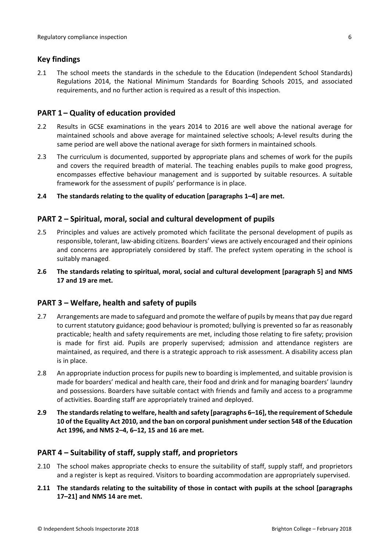### <span id="page-5-0"></span>**Key findings**

2.1 The school meets the standards in the schedule to the Education (Independent School Standards) Regulations 2014, the National Minimum Standards for Boarding Schools 2015, and associated requirements, and no further action is required as a result of this inspection.

#### <span id="page-5-1"></span>**PART 1 – Quality of education provided**

- 2.2 Results in GCSE examinations in the years 2014 to 2016 are well above the national average for maintained schools and above average for maintained selective schools; A-level results during the same period are well above the national average for sixth formers in maintained schools.
- 2.3 The curriculum is documented, supported by appropriate plans and schemes of work for the pupils and covers the required breadth of material. The teaching enables pupils to make good progress, encompasses effective behaviour management and is supported by suitable resources. A suitable framework for the assessment of pupils' performance is in place.
- **2.4 The standards relating to the quality of education [paragraphs 1–4] are met.**

### <span id="page-5-2"></span>**PART 2 – Spiritual, moral, social and cultural development of pupils**

- 2.5 Principles and values are actively promoted which facilitate the personal development of pupils as responsible, tolerant, law-abiding citizens. Boarders' views are actively encouraged and their opinions and concerns are appropriately considered by staff. The prefect system operating in the school is suitably managed.
- **2.6 The standards relating to spiritual, moral, social and cultural development [paragraph 5] and NMS 17 and 19 are met.**

#### <span id="page-5-3"></span>**PART 3 – Welfare, health and safety of pupils**

- 2.7 Arrangements are made to safeguard and promote the welfare of pupils by means that pay due regard to current statutory guidance; good behaviour is promoted; bullying is prevented so far as reasonably practicable; health and safety requirements are met, including those relating to fire safety; provision is made for first aid. Pupils are properly supervised; admission and attendance registers are maintained, as required, and there is a strategic approach to risk assessment. A disability access plan is in place.
- 2.8 An appropriate induction process for pupils new to boarding is implemented, and suitable provision is made for boarders' medical and health care, their food and drink and for managing boarders' laundry and possessions. Boarders have suitable contact with friends and family and access to a programme of activities. Boarding staff are appropriately trained and deployed.
- **2.9 The standardsrelating to welfare, health and safety [paragraphs 6–16], the requirement of Schedule 10 of the Equality Act 2010, and the ban on corporal punishment undersection 548 of the Education Act 1996, and NMS 2–4, 6–12, 15 and 16 are met.**

#### <span id="page-5-4"></span>**PART 4 – Suitability of staff, supply staff, and proprietors**

- 2.10 The school makes appropriate checks to ensure the suitability of staff, supply staff, and proprietors and a register is kept as required. Visitors to boarding accommodation are appropriately supervised.
- **2.11 The standards relating to the suitability of those in contact with pupils at the school [paragraphs 17–21] and NMS 14 are met.**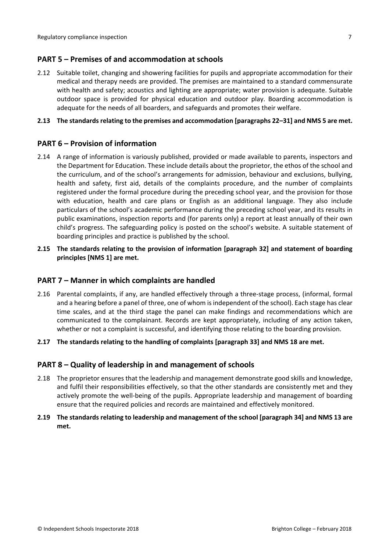### <span id="page-6-0"></span>**PART 5 – Premises of and accommodation at schools**

2.12 Suitable toilet, changing and showering facilities for pupils and appropriate accommodation for their medical and therapy needs are provided. The premises are maintained to a standard commensurate with health and safety; acoustics and lighting are appropriate; water provision is adequate. Suitable outdoor space is provided for physical education and outdoor play. Boarding accommodation is adequate for the needs of all boarders, and safeguards and promotes their welfare.

#### **2.13 The standardsrelating to the premises and accommodation [paragraphs 22–31] and NMS 5 are met.**

#### <span id="page-6-1"></span>**PART 6 – Provision of information**

- 2.14 A range of information is variously published, provided or made available to parents, inspectors and the Department for Education. These include details about the proprietor, the ethos of the school and the curriculum, and of the school's arrangements for admission, behaviour and exclusions, bullying, health and safety, first aid, details of the complaints procedure, and the number of complaints registered under the formal procedure during the preceding school year, and the provision for those with education, health and care plans or English as an additional language. They also include particulars of the school's academic performance during the preceding school year, and its results in public examinations, inspection reports and (for parents only) a report at least annually of their own child's progress. The safeguarding policy is posted on the school's website. A suitable statement of boarding principles and practice is published by the school.
- **2.15 The standards relating to the provision of information [paragraph 32] and statement of boarding principles [NMS 1] are met.**

#### <span id="page-6-2"></span>**PART 7 – Manner in which complaints are handled**

- 2.16 Parental complaints, if any, are handled effectively through a three-stage process, (informal, formal and a hearing before a panel of three, one of whom isindependent of the school). Each stage has clear time scales, and at the third stage the panel can make findings and recommendations which are communicated to the complainant. Records are kept appropriately, including of any action taken, whether or not a complaint is successful, and identifying those relating to the boarding provision.
- **2.17 The standards relating to the handling of complaints [paragraph 33] and NMS 18 are met.**

#### <span id="page-6-3"></span>**PART 8 – Quality of leadership in and management of schools**

- 2.18 The proprietor ensures that the leadership and management demonstrate good skills and knowledge, and fulfil their responsibilities effectively, so that the other standards are consistently met and they actively promote the well-being of the pupils. Appropriate leadership and management of boarding ensure that the required policies and records are maintained and effectively monitored.
- **2.19 The standards relating to leadership and management of the school [paragraph 34] and NMS 13 are met.**